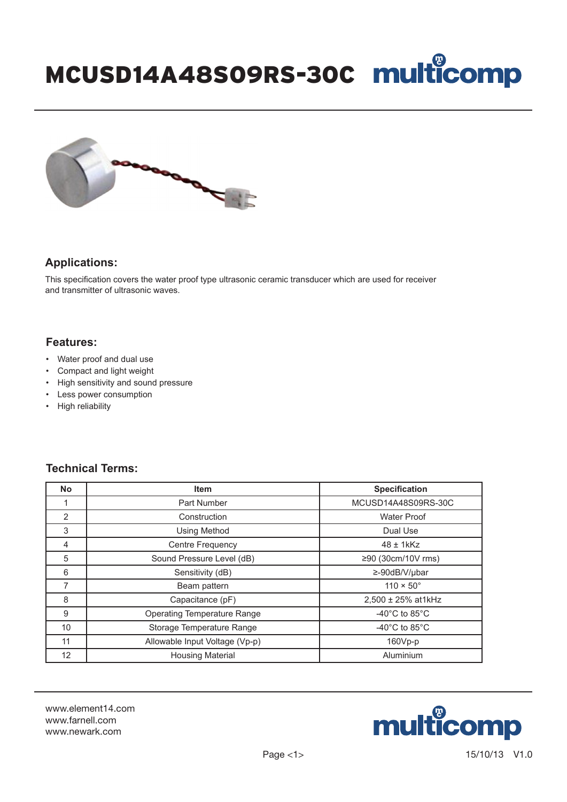### MCUSD14A48S09RS-30C multicomp



#### **Applications:**

This specification covers the water proof type ultrasonic ceramic transducer which are used for receiver and transmitter of ultrasonic waves.

#### **Features:**

- Water proof and dual use
- Compact and light weight
- High sensitivity and sound pressure
- Less power consumption
- High reliability

### **Technical Terms:**

| <b>No</b>      | <b>Item</b>                        | <b>Specification</b>                |
|----------------|------------------------------------|-------------------------------------|
|                | Part Number                        | MCUSD14A48S09RS-30C                 |
| 2              | Construction                       | <b>Water Proof</b>                  |
| 3              | <b>Using Method</b>                | Dual Use                            |
| $\overline{4}$ | Centre Frequency                   | $48 \pm 1$ kKz                      |
| 5              | Sound Pressure Level (dB)          | ≥90 (30cm/10V rms)                  |
| 6              | Sensitivity (dB)                   | $\geq -90$ dB/V/µbar                |
| 7              | Beam pattern                       | $110 \times 50^{\circ}$             |
| 8              | Capacitance (pF)                   | 2,500 ± 25% at1kHz                  |
| 9              | <b>Operating Temperature Range</b> | -40 $^{\circ}$ C to 85 $^{\circ}$ C |
| 10             | Storage Temperature Range          | -40 $^{\circ}$ C to 85 $^{\circ}$ C |
| 11             | Allowable Input Voltage (Vp-p)     | 160Vp-p                             |
| 12             | <b>Housing Material</b>            | Aluminium                           |

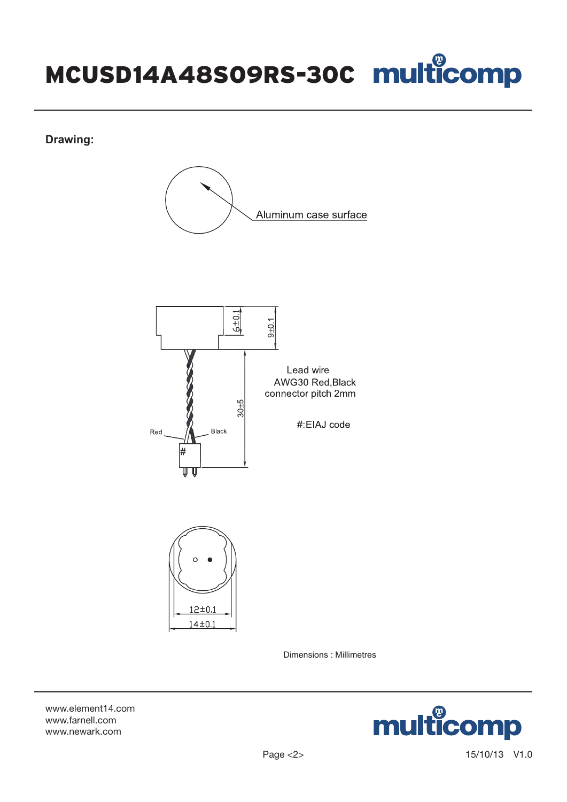## MCUSD14A48S09RS-30C

**Drawing:**







Dimensions : Millimetres

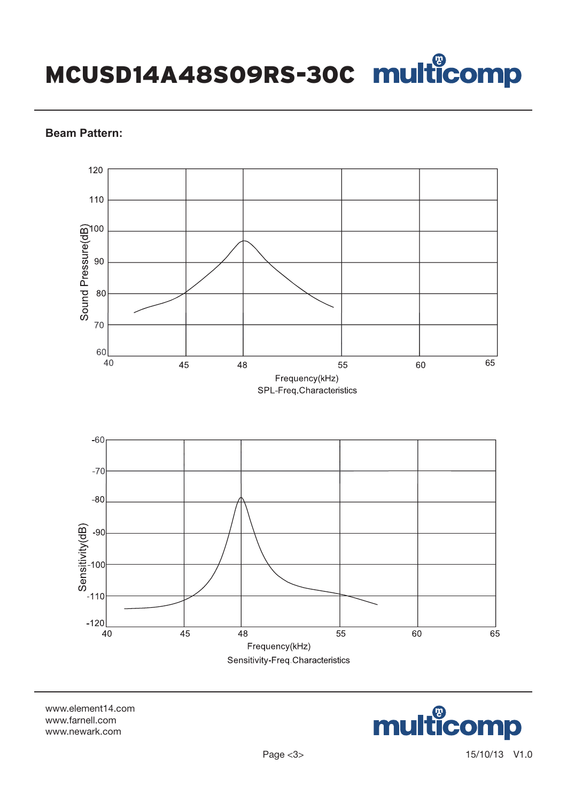MCUSD14A48S09RS-30C

#### **Beam Pattern:**



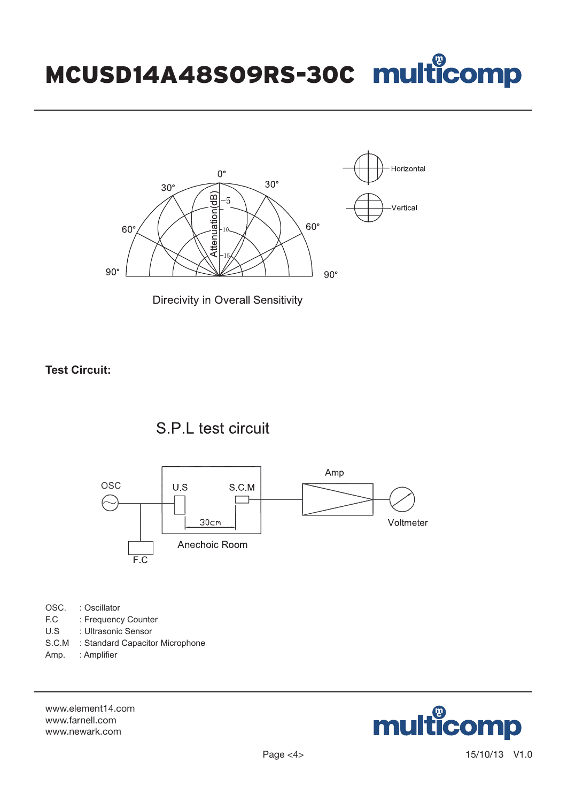# MCUSD14A48S09RS-30C



**Direcivity in Overall Sensitivity** 

**Test Circuit:**





OSC. : Oscillator

- F.C : Frequency Counter
- U.S : Ultrasonic Sensor
- S.C.M : Standard Capacitor Microphone
- Amp. : Amplifier